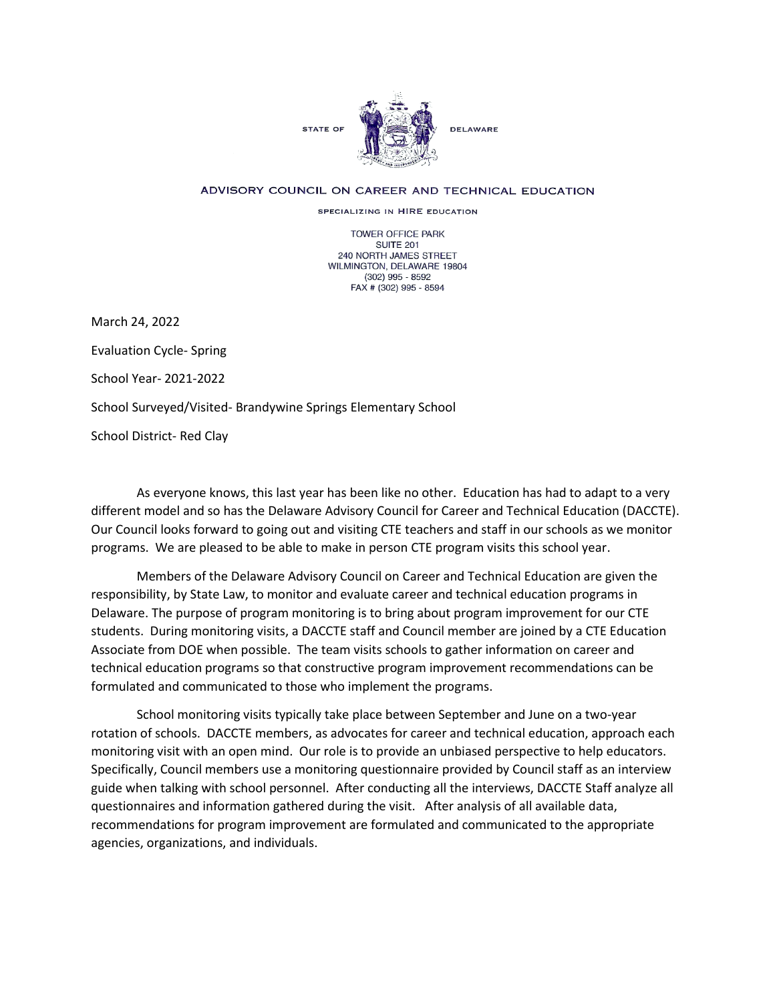

## ADVISORY COUNCIL ON CAREER AND TECHNICAL EDUCATION

SPECIALIZING IN HIRE EDUCATION

TOWER OFFICE PARK SUITE 201 240 NORTH JAMES STREET WILMINGTON, DELAWARE 19804 (302) 995 - 8592 FAX # (302) 995 - 8594

March 24, 2022

Evaluation Cycle- Spring

School Year- 2021-2022

School Surveyed/Visited- Brandywine Springs Elementary School

School District- Red Clay

As everyone knows, this last year has been like no other. Education has had to adapt to a very different model and so has the Delaware Advisory Council for Career and Technical Education (DACCTE). Our Council looks forward to going out and visiting CTE teachers and staff in our schools as we monitor programs. We are pleased to be able to make in person CTE program visits this school year.

Members of the Delaware Advisory Council on Career and Technical Education are given the responsibility, by State Law, to monitor and evaluate career and technical education programs in Delaware. The purpose of program monitoring is to bring about program improvement for our CTE students. During monitoring visits, a DACCTE staff and Council member are joined by a CTE Education Associate from DOE when possible. The team visits schools to gather information on career and technical education programs so that constructive program improvement recommendations can be formulated and communicated to those who implement the programs.

School monitoring visits typically take place between September and June on a two-year rotation of schools. DACCTE members, as advocates for career and technical education, approach each monitoring visit with an open mind. Our role is to provide an unbiased perspective to help educators. Specifically, Council members use a monitoring questionnaire provided by Council staff as an interview guide when talking with school personnel. After conducting all the interviews, DACCTE Staff analyze all questionnaires and information gathered during the visit. After analysis of all available data, recommendations for program improvement are formulated and communicated to the appropriate agencies, organizations, and individuals.